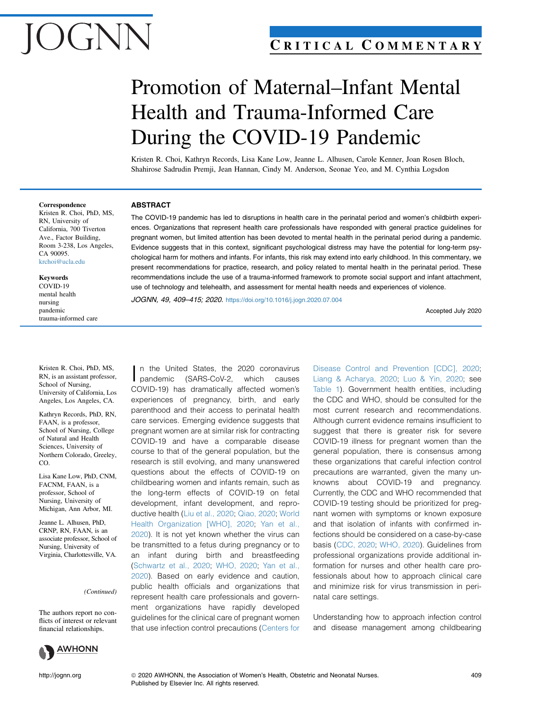# $\mathcal{N}$   $\mathcal{N}$

## C RITICAL C OMMENTARY

# Promotion of Maternal–Infant Mental Health and Trauma-Informed Care During the COVID-19 Pandemic

Kristen R. Choi, Kathryn Records, Lisa Kane Low, Jeanne L. Alhusen, Carole Kenner, Joan Rosen Bloch, Shahirose Sadrudin Premji, Jean Hannan, Cindy M. Anderson, Seonae Yeo, and M. Cynthia Logsdon

The COVID-19 pandemic has led to disruptions in health care in the perinatal period and women's childbirth experiences. Organizations that represent health care professionals have responded with general practice guidelines for pregnant women, but limited attention has been devoted to mental health in the perinatal period during a pandemic. Evidence suggests that in this context, significant psychological distress may have the potential for long-term psychological harm for mothers and infants. For infants, this risk may extend into early childhood. In this commentary, we present recommendations for practice, research, and policy related to mental health in the perinatal period. These recommendations include the use of a trauma-informed framework to promote social support and infant attachment,

use of technology and telehealth, and assessment for mental health needs and experiences of violence.

#### Correspondence

ABSTRACT

Kristen R. Choi, PhD, MS, RN, University of California, 700 Tiverton Ave., Factor Building, Room 3-238, Los Angeles, CA 90095. [krchoi@ucla.edu](mailto:krchoi@ucla.edu)

#### Keywords

COVID-19 mental health nursing pandemic trauma-informed care

Kristen R. Choi, PhD, MS, RN, is an assistant professor, School of Nursing, University of California, Los Angeles, Los Angeles, CA.

Kathryn Records, PhD, RN, FAAN, is a professor, School of Nursing, College of Natural and Health Sciences, University of Northern Colorado, Greeley, CO.

Lisa Kane Low, PhD, CNM, FACNM, FAAN, is a professor, School of Nursing, University of Michigan, Ann Arbor, MI.

Jeanne L. Alhusen, PhD, CRNP, RN, FAAN, is an associate professor, School of Nursing, University of Virginia, Charlottesville, VA.

(Continued)

The authors report no conflicts of interest or relevant financial relationships.



I n the United States, the 2020 coronavirus pandemic (SARS-CoV-2, which causes COVID-19) has dramatically affected women's experiences of pregnancy, birth, and early parenthood and their access to perinatal health care services. Emerging evidence suggests that pregnant women are at similar risk for contracting COVID-19 and have a comparable disease course to that of the general population, but the research is still evolving, and many unanswered questions about the effects of COVID-19 on childbearing women and infants remain, such as the long-term effects of COVID-19 on fetal development, infant development, and reproductive health ([Liu et al., 2020;](#page-6-0) [Qiao, 2020;](#page-6-1) [World](#page-6-2) [Health Organization \[WHO\], 2020](#page-6-2); [Yan et al.,](#page-6-3) [2020](#page-6-3)). It is not yet known whether the virus can be transmitted to a fetus during pregnancy or to an infant during birth and breastfeeding [\(Schwartz et al., 2020;](#page-6-4) [WHO, 2020;](#page-6-2) [Yan et al.,](#page-6-3) [2020](#page-6-3)). Based on early evidence and caution, public health officials and organizations that represent health care professionals and government organizations have rapidly developed guidelines for the clinical care of pregnant women that use infection control precautions ([Centers for](#page-5-0)

[Disease Control and Prevention \[CDC\], 2020;](#page-5-0) [Liang & Acharya, 2020](#page-5-1); [Luo & Yin, 2020;](#page-6-5) see [Table 1\)](#page-2-0). Government health entities, including the CDC and WHO, should be consulted for the most current research and recommendations. Although current evidence remains insufficient to suggest that there is greater risk for severe COVID-19 illness for pregnant women than the general population, there is consensus among these organizations that careful infection control precautions are warranted, given the many unknowns about COVID-19 and pregnancy. Currently, the CDC and WHO recommended that COVID-19 testing should be prioritized for pregnant women with symptoms or known exposure and that isolation of infants with confirmed infections should be considered on a case-by-case basis [\(CDC, 2020;](#page-5-0) [WHO, 2020](#page-6-2)). Guidelines from professional organizations provide additional information for nurses and other health care professionals about how to approach clinical care and minimize risk for virus transmission in perinatal care settings.

Understanding how to approach infection control and disease management among childbearing

JOGNN, 49, 409–415; 2020. <https://doi.org/10.1016/j.jogn.2020.07.004>

Accepted July 2020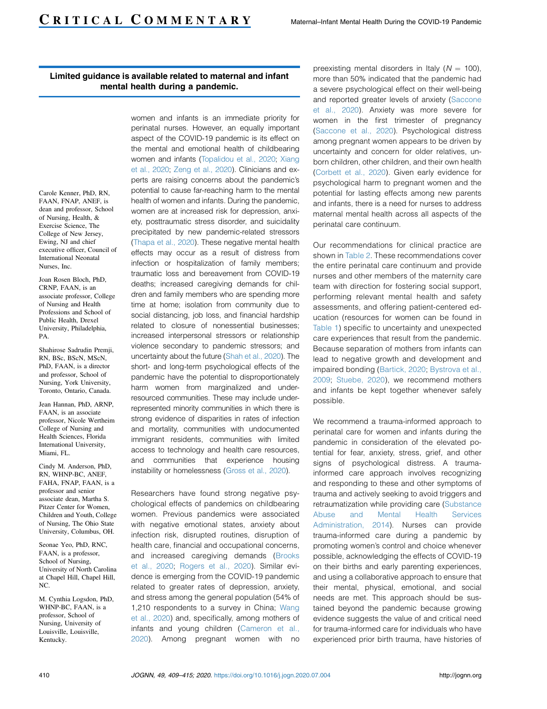#### Limited guidance is available related to maternal and infant mental health during a pandemic.

Carole Kenner, PhD, RN, FAAN, FNAP, ANEF, is dean and professor, School of Nursing, Health, & Exercise Science, The College of New Jersey, Ewing, NJ and chief executive officer, Council of International Neonatal Nurses, Inc.

Joan Rosen Bloch, PhD, CRNP, FAAN, is an associate professor, College of Nursing and Health Professions and School of Public Health, Drexel University, Philadelphia, PA.

Shahirose Sadrudin Premji, RN, BSc, BScN, MScN, PhD, FAAN, is a director and professor, School of Nursing, York University, Toronto, Ontario, Canada.

Jean Hannan, PhD, ARNP, FAAN, is an associate professor, Nicole Wertheim College of Nursing and Health Sciences, Florida International University, Miami, FL.

Cindy M. Anderson, PhD, RN, WHNP-BC, ANEF, FAHA, FNAP, FAAN, is a professor and senior associate dean, Martha S. Pitzer Center for Women, Children and Youth, College of Nursing, The Ohio State University, Columbus, OH.

Seonae Yeo, PhD, RNC, FAAN, is a professor, School of Nursing, University of North Carolina at Chapel Hill, Chapel Hill, NC.

M. Cynthia Logsdon, PhD, WHNP-BC, FAAN, is a professor, School of Nursing, University of Louisville, Louisville, Kentucky.

women and infants is an immediate priority for perinatal nurses. However, an equally important aspect of the COVID-19 pandemic is its effect on the mental and emotional health of childbearing women and infants [\(Topalidou et al., 2020;](#page-6-6) [Xiang](#page-6-7) [et al., 2020](#page-6-7); [Zeng et al., 2020\)](#page-6-8). Clinicians and experts are raising concerns about the pandemic's potential to cause far-reaching harm to the mental health of women and infants. During the pandemic, women are at increased risk for depression, anxiety, posttraumatic stress disorder, and suicidality precipitated by new pandemic-related stressors [\(Thapa et al., 2020](#page-6-9)). These negative mental health effects may occur as a result of distress from infection or hospitalization of family members; traumatic loss and bereavement from COVID-19 deaths; increased caregiving demands for children and family members who are spending more time at home; isolation from community due to social distancing, job loss, and financial hardship related to closure of nonessential businesses; increased interpersonal stressors or relationship violence secondary to pandemic stressors; and uncertainty about the future [\(Shah et al., 2020\)](#page-6-10). The short- and long-term psychological effects of the pandemic have the potential to disproportionately harm women from marginalized and underresourced communities. These may include underrepresented minority communities in which there is strong evidence of disparities in rates of infection and mortality, communities with undocumented immigrant residents, communities with limited access to technology and health care resources, and communities that experience housing instability or homelessness [\(Gross et al., 2020](#page-5-2)).

Researchers have found strong negative psychological effects of pandemics on childbearing women. Previous pandemics were associated with negative emotional states, anxiety about infection risk, disrupted routines, disruption of health care, financial and occupational concerns, and increased caregiving demands [\(Brooks](#page-5-3) [et al., 2020](#page-5-3); [Rogers et al., 2020\)](#page-6-11). Similar evidence is emerging from the COVID-19 pandemic related to greater rates of depression, anxiety, and stress among the general population (54% of 1,210 respondents to a survey in China; [Wang](#page-6-12) [et al., 2020\)](#page-6-12) and, specifically, among mothers of infants and young children [\(Cameron et al.,](#page-5-4) [2020](#page-5-4)). Among pregnant women with no preexisting mental disorders in Italy ( $N = 100$ ), more than 50% indicated that the pandemic had a severe psychological effect on their well-being and reported greater levels of anxiety ([Saccone](#page-6-13) [et al., 2020\)](#page-6-13). Anxiety was more severe for women in the first trimester of pregnancy [\(Saccone et al., 2020\)](#page-6-13). Psychological distress among pregnant women appears to be driven by uncertainty and concern for older relatives, unborn children, other children, and their own health [\(Corbett et al., 2020](#page-5-5)). Given early evidence for psychological harm to pregnant women and the potential for lasting effects among new parents and infants, there is a need for nurses to address maternal mental health across all aspects of the perinatal care continuum.

Our recommendations for clinical practice are shown in [Table 2](#page-4-0). These recommendations cover the entire perinatal care continuum and provide nurses and other members of the maternity care team with direction for fostering social support, performing relevant mental health and safety assessments, and offering patient-centered education (resources for women can be found in [Table 1\)](#page-2-0) specific to uncertainty and unexpected care experiences that result from the pandemic. Because separation of mothers from infants can lead to negative growth and development and impaired bonding ([Bartick, 2020;](#page-5-6) [Bystrova et al.,](#page-5-7) [2009](#page-5-7); [Stuebe, 2020\)](#page-6-14), we recommend mothers and infants be kept together whenever safely possible.

We recommend a trauma-informed approach to perinatal care for women and infants during the pandemic in consideration of the elevated potential for fear, anxiety, stress, grief, and other signs of psychological distress. A traumainformed care approach involves recognizing and responding to these and other symptoms of trauma and actively seeking to avoid triggers and retraumatization while providing care ([Substance](#page-6-15) [Abuse and Mental Health Services](#page-6-15) [Administration, 2014\)](#page-6-15). Nurses can provide trauma-informed care during a pandemic by promoting women's control and choice whenever possible, acknowledging the effects of COVID-19 on their births and early parenting experiences, and using a collaborative approach to ensure that their mental, physical, emotional, and social needs are met. This approach should be sustained beyond the pandemic because growing evidence suggests the value of and critical need for trauma-informed care for individuals who have experienced prior birth trauma, have histories of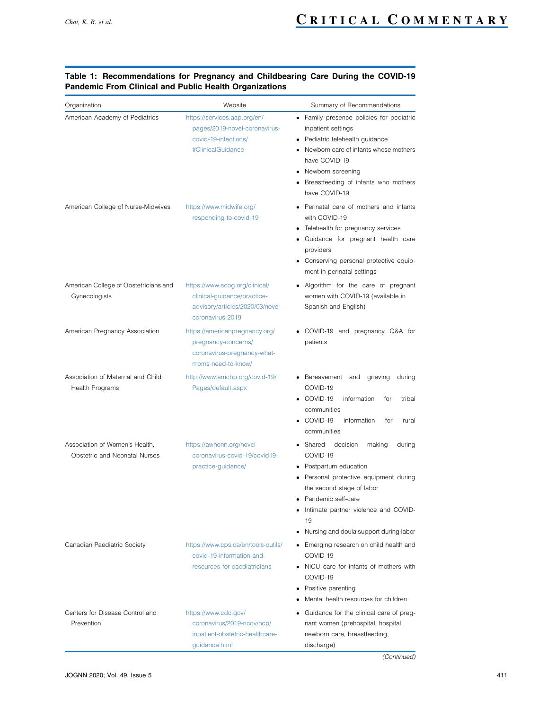| Organization                                                    | Website                                                                                                               | Summary of Recommendations                                                                                                                                                                                                                                                     |
|-----------------------------------------------------------------|-----------------------------------------------------------------------------------------------------------------------|--------------------------------------------------------------------------------------------------------------------------------------------------------------------------------------------------------------------------------------------------------------------------------|
| American Academy of Pediatrics                                  | https://services.aap.org/en/<br>pages/2019-novel-coronavirus-<br>covid-19-infections/<br>#ClinicalGuidance            | • Family presence policies for pediatric<br>inpatient settings<br>• Pediatric telehealth guidance<br>Newborn care of infants whose mothers<br>have COVID-19<br>• Newborn screening<br>Breastfeeding of infants who mothers<br>have COVID-19                                    |
| American College of Nurse-Midwives                              | https://www.midwife.org/<br>responding-to-covid-19                                                                    | • Perinatal care of mothers and infants<br>with COVID-19<br>Telehealth for pregnancy services<br>Guidance for pregnant health care<br>providers<br>Conserving personal protective equip-<br>ment in perinatal settings                                                         |
| American College of Obstetricians and<br>Gynecologists          | https://www.acog.org/clinical/<br>clinical-guidance/practice-<br>advisory/articles/2020/03/novel-<br>coronavirus-2019 | Algorithm for the care of pregnant<br>women with COVID-19 (available in<br>Spanish and English)                                                                                                                                                                                |
| American Pregnancy Association                                  | https://americanpregnancy.org/<br>pregnancy-concerns/<br>coronavirus-pregnancy-what-<br>moms-need-to-know/            | • COVID-19 and pregnancy Q&A for<br>patients                                                                                                                                                                                                                                   |
| Association of Maternal and Child<br>Health Programs            | http://www.amchp.org/covid-19/<br>Pages/default.aspx                                                                  | • Bereavement and<br>grieving<br>during<br>COVID-19<br>$\bullet$ COVID-19<br>information<br>tribal<br>for<br>communities<br>$\bullet$ COVID-19<br>information<br>for<br>rural<br>communities                                                                                   |
| Association of Women's Health,<br>Obstetric and Neonatal Nurses | https://awhonn.org/novel-<br>coronavirus-covid-19/covid19-<br>practice-guidance/                                      | • Shared<br>decision<br>making<br>during<br>COVID-19<br>• Postpartum education<br>Personal protective equipment during<br>the second stage of labor<br>Pandemic self-care<br>Intimate partner violence and COVID-<br>19<br>Nursing and doula support during labor<br>$\bullet$ |
| Canadian Paediatric Society                                     | https://www.cps.ca/en/tools-outils/<br>covid-19-information-and-<br>resources-for-paediatricians                      | • Emerging research on child health and<br>COVID-19<br>• NICU care for infants of mothers with<br>COVID-19<br>• Positive parenting<br>Mental health resources for children                                                                                                     |
| Centers for Disease Control and<br>Prevention                   | https://www.cdc.gov/<br>coronavirus/2019-ncov/hcp/<br>inpatient-obstetric-healthcare-<br>guidance.html                | Guidance for the clinical care of preg-<br>nant women (prehospital, hospital,<br>newborn care, breastfeeding,<br>discharge)                                                                                                                                                    |

#### <span id="page-2-0"></span>Table 1: Recommendations for Pregnancy and Childbearing Care During the COVID-19 Pandemic From Clinical and Public Health Organizations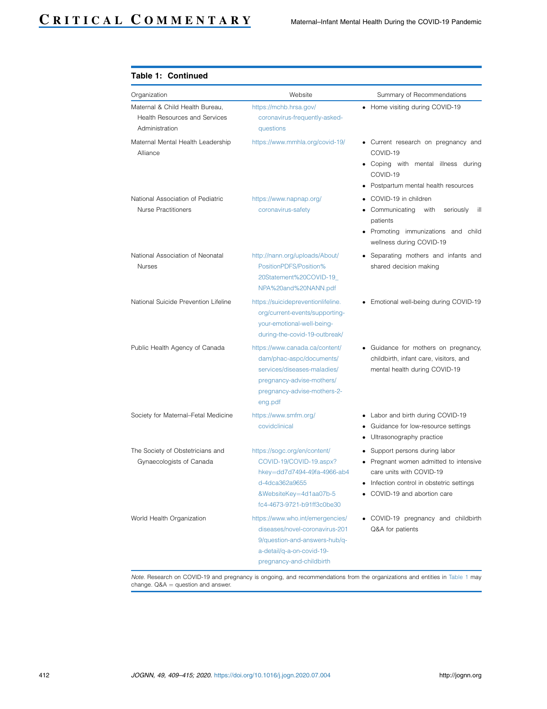| Organization                                                                              | Website                                                                                                                                                          | Summary of Recommendations                                                                                                                                                                   |
|-------------------------------------------------------------------------------------------|------------------------------------------------------------------------------------------------------------------------------------------------------------------|----------------------------------------------------------------------------------------------------------------------------------------------------------------------------------------------|
| Maternal & Child Health Bureau,<br><b>Health Resources and Services</b><br>Administration | https://mchb.hrsa.gov/<br>coronavirus-frequently-asked-<br>questions                                                                                             | • Home visiting during COVID-19                                                                                                                                                              |
| Maternal Mental Health Leadership<br>Alliance                                             | https://www.mmhla.org/covid-19/                                                                                                                                  | • Current research on pregnancy and<br>COVID-19<br>• Coping with mental illness during<br>COVID-19<br>• Postpartum mental health resources                                                   |
| National Association of Pediatric<br><b>Nurse Practitioners</b>                           | https://www.napnap.org/<br>coronavirus-safety                                                                                                                    | • COVID-19 in children<br>• Communicating<br>with<br>seriously<br>ill<br>patients<br>• Promoting immunizations and child<br>wellness during COVID-19                                         |
| National Association of Neonatal<br><b>Nurses</b>                                         | http://nann.org/uploads/About/<br>PositionPDFS/Position%<br>20Statement%20COVID-19_<br>NPA%20and%20NANN.pdf                                                      | • Separating mothers and infants and<br>shared decision making                                                                                                                               |
| National Suicide Prevention Lifeline                                                      | https://suicidepreventionlifeline.<br>org/current-events/supporting-<br>your-emotional-well-being-<br>during-the-covid-19-outbreak/                              | • Emotional well-being during COVID-19                                                                                                                                                       |
| Public Health Agency of Canada                                                            | https://www.canada.ca/content/<br>dam/phac-aspc/documents/<br>services/diseases-maladies/<br>pregnancy-advise-mothers/<br>pregnancy-advise-mothers-2-<br>eng.pdf | • Guidance for mothers on pregnancy,<br>childbirth, infant care, visitors, and<br>mental health during COVID-19                                                                              |
| Society for Maternal-Fetal Medicine                                                       | https://www.smfm.org/<br>covidclinical                                                                                                                           | • Labor and birth during COVID-19<br>Guidance for low-resource settings<br>Ultrasonography practice                                                                                          |
| The Society of Obstetricians and<br>Gynaecologists of Canada                              | https://sogc.org/en/content/<br>COVID-19/COVID-19.aspx?<br>hkey=dd7d7494-49fa-4966-ab4<br>d-4dca362a9655<br>&WebsiteKey=4d1aa07b-5<br>fc4-4673-9721-b91ff3c0be30 | Support persons during labor<br>$\bullet$<br>• Pregnant women admitted to intensive<br>care units with COVID-19<br>• Infection control in obstetric settinas<br>• COVID-19 and abortion care |
| World Health Organization                                                                 | https://www.who.int/emergencies/<br>diseases/novel-coronavirus-201<br>9/question-and-answers-hub/q-<br>a-detail/q-a-on-covid-19-<br>pregnancy-and-childbirth     | • COVID-19 pregnancy and childbirth<br>Q&A for patients                                                                                                                                      |

#### Table 1: Continued

Note. Research on COVID-19 and pregnancy is ongoing, and recommendations from the organizations and entities in [Table 1](#page-2-0) may change.  $Q&A =$  question and answer.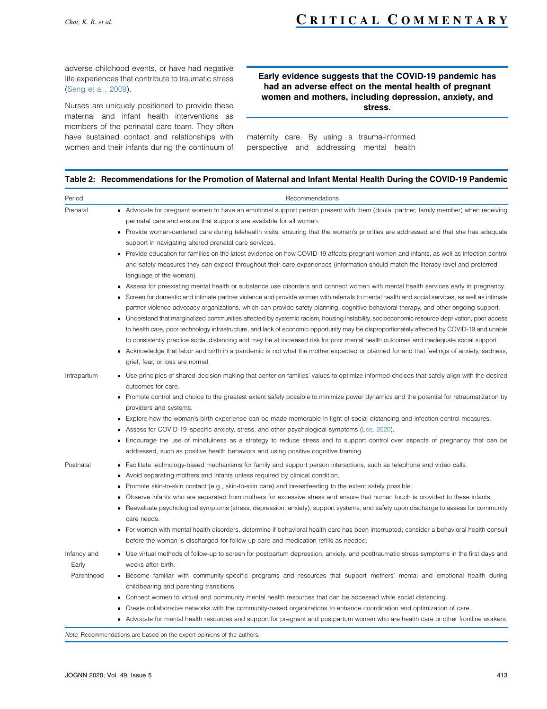adverse childhood events, or have had negative life experiences that contribute to traumatic stress ([Seng et al., 2009\)](#page-6-16).

Nurses are uniquely positioned to provide these maternal and infant health interventions as members of the perinatal care team. They often have sustained contact and relationships with women and their infants during the continuum of

#### Early evidence suggests that the COVID-19 pandemic has had an adverse effect on the mental health of pregnant women and mothers, including depression, anxiety, and stress.

maternity care. By using a trauma-informed perspective and addressing mental health

#### <span id="page-4-0"></span>Table 2: Recommendations for the Promotion of Maternal and Infant Mental Health During the COVID-19 Pandemic

| Period                             | Recommendations                                                                                                                                                                                                                                                                                                                                                                                                                                                                                                                                                                                                                                                                                                                                                                                                                                                                                                                                                                                                                                                                                                                                                                                                                                                                                                                                                                                                                                                                                                                                                                                                                                                                                                                                                         |
|------------------------------------|-------------------------------------------------------------------------------------------------------------------------------------------------------------------------------------------------------------------------------------------------------------------------------------------------------------------------------------------------------------------------------------------------------------------------------------------------------------------------------------------------------------------------------------------------------------------------------------------------------------------------------------------------------------------------------------------------------------------------------------------------------------------------------------------------------------------------------------------------------------------------------------------------------------------------------------------------------------------------------------------------------------------------------------------------------------------------------------------------------------------------------------------------------------------------------------------------------------------------------------------------------------------------------------------------------------------------------------------------------------------------------------------------------------------------------------------------------------------------------------------------------------------------------------------------------------------------------------------------------------------------------------------------------------------------------------------------------------------------------------------------------------------------|
| Prenatal                           | • Advocate for pregnant women to have an emotional support person present with them (doula, partner, family member) when receiving<br>perinatal care and ensure that supports are available for all women.<br>• Provide woman-centered care during telehealth visits, ensuring that the woman's priorities are addressed and that she has adequate<br>support in navigating altered prenatal care services.<br>• Provide education for families on the latest evidence on how COVID-19 affects pregnant women and infants, as well as infection control<br>and safety measures they can expect throughout their care experiences (information should match the literacy level and preferred<br>language of the woman).<br>Assess for preexisting mental health or substance use disorders and connect women with mental health services early in pregnancy.<br>Screen for domestic and intimate partner violence and provide women with referrals to mental health and social services, as well as intimate<br>partner violence advocacy organizations, which can provide safety planning, cognitive behavioral therapy, and other ongoing support.<br>• Understand that marginalized communities affected by systemic racism, housing instability, socioeconomic resource deprivation, poor access<br>to health care, poor technology infrastructure, and lack of economic opportunity may be disproportionately affected by COVID-19 and unable<br>to consistently practice social distancing and may be at increased risk for poor mental health outcomes and inadequate social support.<br>Acknowledge that labor and birth in a pandemic is not what the mother expected or planned for and that feelings of anxiety, sadness,<br>grief, fear, or loss are normal. |
| Intrapartum                        | • Use principles of shared decision-making that center on families' values to optimize informed choices that safely align with the desired<br>outcomes for care.<br>Promote control and choice to the greatest extent safely possible to minimize power dynamics and the potential for retraumatization by<br>providers and systems.<br>Explore how the woman's birth experience can be made memorable in light of social distancing and infection control measures.<br>Assess for COVID-19-specific anxiety, stress, and other psychological symptoms (Lee, 2020).<br>Encourage the use of mindfulness as a strategy to reduce stress and to support control over aspects of pregnancy that can be<br>addressed, such as positive health behaviors and using positive cognitive framing.                                                                                                                                                                                                                                                                                                                                                                                                                                                                                                                                                                                                                                                                                                                                                                                                                                                                                                                                                                               |
| Postnatal                          | Facilitate technology-based mechanisms for family and support person interactions, such as telephone and video calls.<br>Avoid separating mothers and infants unless required by clinical condition.<br>Promote skin-to-skin contact (e.g., skin-to-skin care) and breastfeeding to the extent safely possible.<br>Observe infants who are separated from mothers for excessive stress and ensure that human touch is provided to these infants.<br>Reevaluate psychological symptoms (stress, depression, anxiety), support systems, and safety upon discharge to assess for community<br>care needs.<br>For women with mental health disorders, determine if behavioral health care has been interrupted; consider a behavioral health consult<br>before the woman is discharged for follow-up care and medication refills as needed.                                                                                                                                                                                                                                                                                                                                                                                                                                                                                                                                                                                                                                                                                                                                                                                                                                                                                                                                 |
| Infancy and<br>Early<br>Parenthood | Use virtual methods of follow-up to screen for postpartum depression, anxiety, and posttraumatic stress symptoms in the first days and<br>weeks after birth.<br>• Become familiar with community-specific programs and resources that support mothers' mental and emotional health during<br>childbearing and parenting transitions.<br>Connect women to virtual and community mental health resources that can be accessed while social distancing<br>Create collaborative networks with the community-based organizations to enhance coordination and optimization of care.<br>• Advocate for mental health resources and support for pregnant and postpartum women who are health care or other frontline workers.                                                                                                                                                                                                                                                                                                                                                                                                                                                                                                                                                                                                                                                                                                                                                                                                                                                                                                                                                                                                                                                   |

Note. Recommendations are based on the expert opinions of the authors.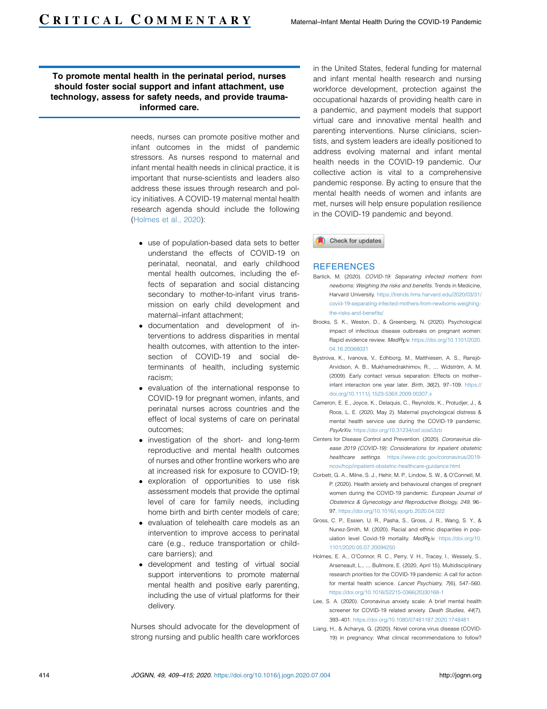#### To promote mental health in the perinatal period, nurses should foster social support and infant attachment, use technology, assess for safety needs, and provide traumainformed care.

needs, nurses can promote positive mother and infant outcomes in the midst of pandemic stressors. As nurses respond to maternal and infant mental health needs in clinical practice, it is important that nurse-scientists and leaders also address these issues through research and policy initiatives. A COVID-19 maternal mental health research agenda should include the following [\(Holmes et al., 2020](#page-5-9)):

- use of population-based data sets to better understand the effects of COVID-19 on perinatal, neonatal, and early childhood mental health outcomes, including the effects of separation and social distancing secondary to mother-to-infant virus transmission on early child development and maternal–infant attachment;
- documentation and development of interventions to address disparities in mental health outcomes, with attention to the intersection of COVID-19 and social determinants of health, including systemic racism;
- evaluation of the international response to COVID-19 for pregnant women, infants, and perinatal nurses across countries and the effect of local systems of care on perinatal outcomes;
- investigation of the short- and long-term reproductive and mental health outcomes of nurses and other frontline workers who are at increased risk for exposure to COVID-19;
- exploration of opportunities to use risk assessment models that provide the optimal level of care for family needs, including home birth and birth center models of care;
- evaluation of telehealth care models as an intervention to improve access to perinatal care (e.g., reduce transportation or childcare barriers); and
- development and testing of virtual social support interventions to promote maternal mental health and positive early parenting, including the use of virtual platforms for their delivery.

Nurses should advocate for the development of strong nursing and public health care workforces

in the United States, federal funding for maternal and infant mental health research and nursing workforce development, protection against the occupational hazards of providing health care in a pandemic, and payment models that support virtual care and innovative mental health and parenting interventions. Nurse clinicians, scientists, and system leaders are ideally positioned to address evolving maternal and infant mental health needs in the COVID-19 pandemic. Our collective action is vital to a comprehensive pandemic response. By acting to ensure that the mental health needs of women and infants are met, nurses will help ensure population resilience in the COVID-19 pandemic and beyond.

Check for updates

#### **REFERENCES**

- <span id="page-5-6"></span>Bartick, M. (2020). COVID-19: Separating infected mothers from newborns: Weighing the risks and benefits. Trends in Medicine, Harvard University. [https://trends.hms.harvard.edu/2020/03/31/](https://trends.hms.harvard.edu/2020/03/31/covid-19-separating-infected-mothers-from-newborns-weighing-the-risks-and-benefits/) [covid-19-separating-infected-mothers-from-newborns-weighing](https://trends.hms.harvard.edu/2020/03/31/covid-19-separating-infected-mothers-from-newborns-weighing-the-risks-and-benefits/)[the-risks-and-benefits/](https://trends.hms.harvard.edu/2020/03/31/covid-19-separating-infected-mothers-from-newborns-weighing-the-risks-and-benefits/)
- <span id="page-5-3"></span>Brooks, S. K., Weston, D., & Greenberg, N. (2020). Psychological impact of infectious disease outbreaks on pregnant women: Rapid evidence review. MedRxiv. [https://doi.org/10.1101/2020.](https://doi.org/10.1101/2020.04.16.20068031) [04.16.20068031](https://doi.org/10.1101/2020.04.16.20068031)
- <span id="page-5-7"></span>Bystrova, K., Ivanova, V., Edhborg, M., Matthiesen, A. S., Ransiö-Arvidson, A. B., Mukhamedrakhimov, R., ... Widström, A. M. (2009). Early contact versus separation: Effects on mother– infant interaction one year later. Birth, 36(2), 97–109. [https://](https://doi.org/10.1111/j.1523-536X.2009.00307.x) [doi.org/10.1111/j.1523-536X.2009.00307.x](https://doi.org/10.1111/j.1523-536X.2009.00307.x)
- <span id="page-5-4"></span>Cameron, E. E., Joyce, K., Delaquis, C., Reynolds, K., Protudjer, J., & Roos, L. E. (2020, May 2). Maternal psychological distress & mental health service use during the COVID-19 pandemic. PsyArXiv. <https://doi.org/10.31234/osf.io/a53zb>
- <span id="page-5-0"></span>Centers for Disease Control and Prevention. (2020). Coronavirus disease 2019 (COVID-19): Considerations for inpatient obstetric healthcare settings. [https://www.cdc.gov/coronavirus/2019](https://www.cdc.gov/coronavirus/2019-ncov/hcp/inpatient-obstetric-healthcare-guidance.html) [ncov/hcp/inpatient-obstetric-healthcare-guidance.html](https://www.cdc.gov/coronavirus/2019-ncov/hcp/inpatient-obstetric-healthcare-guidance.html)
- <span id="page-5-5"></span>Corbett, G. A., Milne, S. J., Hehir, M. P., Lindow, S. W., & O'Connell, M. P. (2020). Health anxiety and behavioural changes of pregnant women during the COVID-19 pandemic. European Journal of Obstetrics & Gynecology and Reproductive Biology, 249, 96– 97. <https://doi.org/10.1016/j.ejogrb.2020.04.022>
- <span id="page-5-2"></span>Gross, C. P., Essien, U. R., Pasha, S., Gross, J. R., Wang, S. Y., & Nunez-Smith, M. (2020). Racial and ethnic disparities in population level Covid-19 mortality.  $MedR_Xiv$ . [https://doi.org/10.](https://doi.org/10.1101/2020.05.07.20094250) [1101/2020.05.07.20094250](https://doi.org/10.1101/2020.05.07.20094250)
- <span id="page-5-9"></span>Holmes, E. A., O'Connor, R. C., Perry, V. H., Tracey, I., Wessely, S., Arseneault, L., … Bullmore, E. (2020, April 15). Multidisciplinary research priorities for the COVID-19 pandemic: A call for action for mental health science. Lancet Psychiatry, 7(6), 547–560. [https://doi.org/10.1016/S2215-0366\(20\)30168-1](https://doi.org/10.1016/S2215-0366(20)30168-1)
- <span id="page-5-8"></span>Lee, S. A. (2020). Coronavirus anxiety scale: A brief mental health screener for COVID-19 related anxiety. Death Studies, 44(7), 393–401. <https://doi.org/10.1080/07481187.2020.1748481>
- <span id="page-5-1"></span>Liang, H., & Acharya, G. (2020). Novel corona virus disease (COVID-19) in pregnancy: What clinical recommendations to follow?